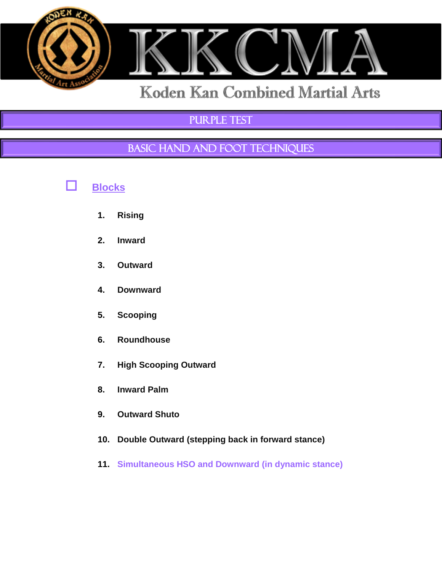

## PURPLE TEST

## BASIC HAND AND FOOT TECHNIQUES



- **1. Rising**
- **2. Inward**
- **3. Outward**
- **4. Downward**
- **5. Scooping**
- **6. Roundhouse**
- **7. High Scooping Outward**
- **8. Inward Palm**
- **9. Outward Shuto**
- **10. Double Outward (stepping back in forward stance)**
- **11. Simultaneous HSO and Downward (in dynamic stance)**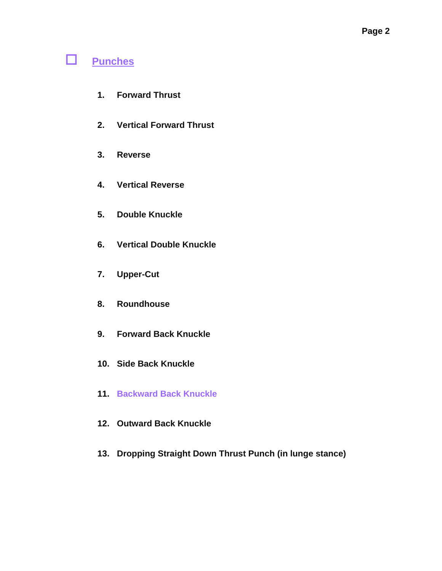## **Punches**

- **1. Forward Thrust**
- **2. Vertical Forward Thrust**
- **3. Reverse**
- **4. Vertical Reverse**
- **5. Double Knuckle**
- **6. Vertical Double Knuckle**
- **7. Upper-Cut**
- **8. Roundhouse**
- **9. Forward Back Knuckle**
- **10. Side Back Knuckle**
- **11. Backward Back Knuckle**
- **12. Outward Back Knuckle**
- **13. Dropping Straight Down Thrust Punch (in lunge stance)**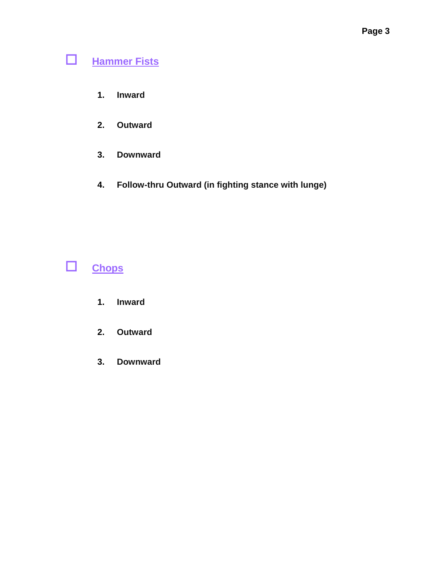# **Hammer Fists**

- **1. Inward**
- **2. Outward**
- **3. Downward**
- **4. Follow-thru Outward (in fighting stance with lunge)**



# **Chops**

- **1. Inward**
- **2. Outward**
- **3. Downward**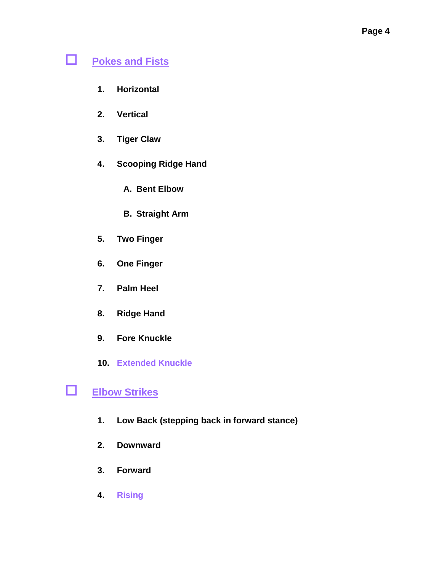# **Pokes and Fists**

- **1. Horizontal**
- **2. Vertical**
- **3. Tiger Claw**
- **4. Scooping Ridge Hand**
	- **A. Bent Elbow**
	- **B. Straight Arm**
- **5. Two Finger**
- **6. One Finger**
- **7. Palm Heel**
- **8. Ridge Hand**
- **9. Fore Knuckle**
- **10. Extended Knuckle**

## **Elbow Strikes**

- **1. Low Back (stepping back in forward stance)**
- **2. Downward**
- **3. Forward**
- **4. Rising**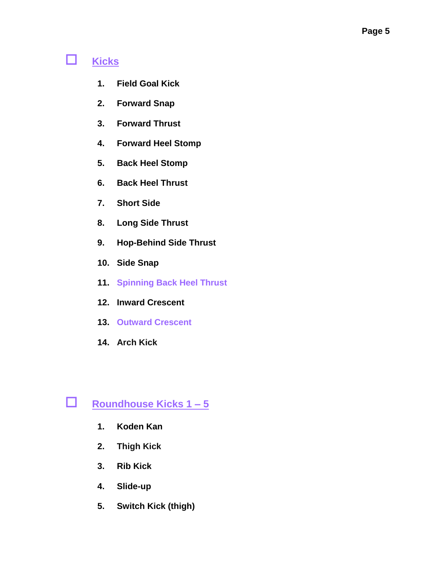# **Kicks**

- **1. Field Goal Kick**
- **2. Forward Snap**
- **3. Forward Thrust**
- **4. Forward Heel Stomp**
- **5. Back Heel Stomp**
- **6. Back Heel Thrust**
- **7. Short Side**
- **8. Long Side Thrust**
- **9. Hop-Behind Side Thrust**
- **10. Side Snap**
- **11. Spinning Back Heel Thrust**
- **12. Inward Crescent**
- **13. Outward Crescent**
- **14. Arch Kick**

## **Roundhouse Kicks 1 – 5**

- **1. Koden Kan**
- **2. Thigh Kick**
- **3. Rib Kick**
- **4. Slide-up**
- **5. Switch Kick (thigh)**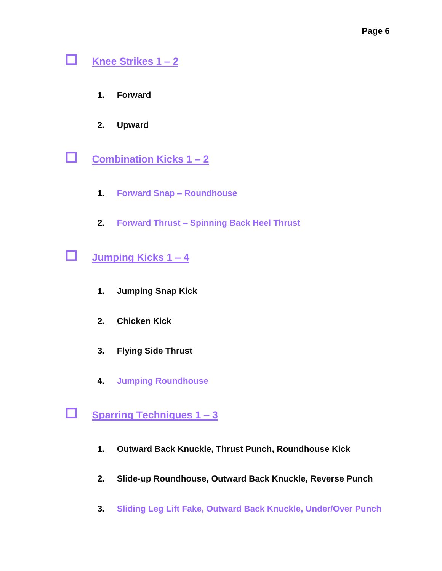## **Knee Strikes 1 – 2**

- **1. Forward**
- **2. Upward**
- **Combination Kicks 1 – 2**
	- **1. Forward Snap – Roundhouse**
	- **2. Forward Thrust – Spinning Back Heel Thrust**
- **Jumping Kicks 1 – 4**
	- **1. Jumping Snap Kick**
	- **2. Chicken Kick**
	- **3. Flying Side Thrust**
	- **4. Jumping Roundhouse**
- **Sparring Techniques 1 – 3**
	- **1. Outward Back Knuckle, Thrust Punch, Roundhouse Kick**
	- **2. Slide-up Roundhouse, Outward Back Knuckle, Reverse Punch**
	- **3. Sliding Leg Lift Fake, Outward Back Knuckle, Under/Over Punch**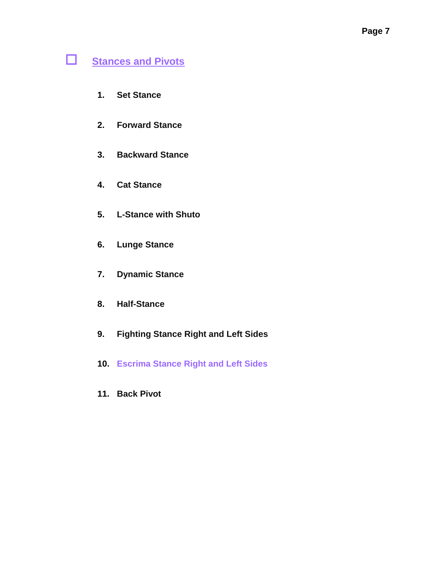# **Stances and Pivots**

- **1. Set Stance**
- **2. Forward Stance**
- **3. Backward Stance**
- **4. Cat Stance**
- **5. L-Stance with Shuto**
- **6. Lunge Stance**
- **7. Dynamic Stance**
- **8. Half-Stance**
- **9. Fighting Stance Right and Left Sides**
- **10. Escrima Stance Right and Left Sides**
- **11. Back Pivot**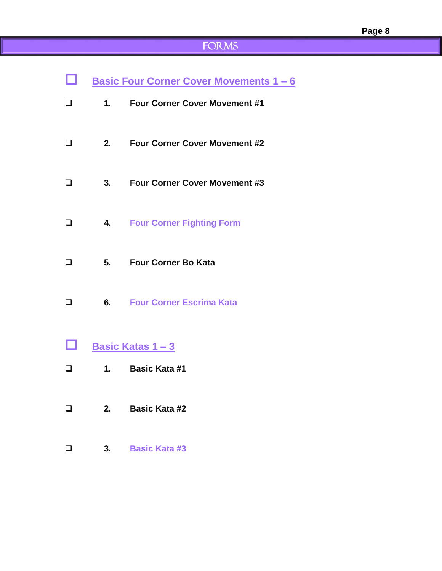# FORMS

| □      |    | <b>Basic Four Corner Cover Movements 1-6</b> |
|--------|----|----------------------------------------------|
| $\Box$ | 1. | <b>Four Corner Cover Movement #1</b>         |
| $\Box$ | 2. | <b>Four Corner Cover Movement #2</b>         |
| $\Box$ | 3. | <b>Four Corner Cover Movement #3</b>         |
| $\Box$ | 4. | <b>Four Corner Fighting Form</b>             |
| $\Box$ | 5. | <b>Four Corner Bo Kata</b>                   |
| $\Box$ | 6. | <b>Four Corner Escrima Kata</b>              |
| $\Box$ |    | <u>Basic Katas 1-3</u>                       |
| $\Box$ | 1. | <b>Basic Kata #1</b>                         |
| $\Box$ | 2. | <b>Basic Kata #2</b>                         |

**3. Basic Kata #3**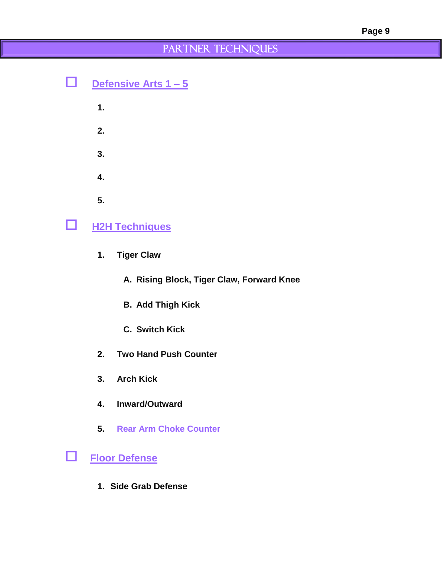## PARTNER TECHNIQUES

|   | Defensive Arts 1 - 5  |  |
|---|-----------------------|--|
|   | $\mathbf 1$ .         |  |
|   | 2.                    |  |
|   | 3.                    |  |
|   | 4.                    |  |
|   | 5.                    |  |
| ப | <b>H2H Techniques</b> |  |
|   |                       |  |

- **1. Tiger Claw**
	- **A. Rising Block, Tiger Claw, Forward Knee**
	- **B. Add Thigh Kick**
	- **C. Switch Kick**
- **2. Two Hand Push Counter**
- **3. Arch Kick**
- **4. Inward/Outward**
- **5. Rear Arm Choke Counter**
- **Floor Defense**
	- **1. Side Grab Defense**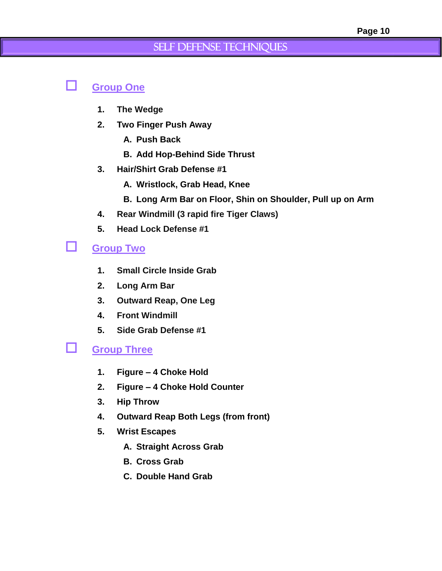### Self Defense Techniques

### **Group One**

- **1. The Wedge**
- **2. Two Finger Push Away**
	- **A. Push Back**
	- **B. Add Hop-Behind Side Thrust**
- **3. Hair/Shirt Grab Defense #1**
	- **A. Wristlock, Grab Head, Knee**
	- **B. Long Arm Bar on Floor, Shin on Shoulder, Pull up on Arm**
- **4. Rear Windmill (3 rapid fire Tiger Claws)**
- **5. Head Lock Defense #1**

### **Group Two**

- **1. Small Circle Inside Grab**
- **2. Long Arm Bar**
- **3. Outward Reap, One Leg**
- **4. Front Windmill**
- **5. Side Grab Defense #1**

### **Group Three**

- **1. Figure – 4 Choke Hold**
- **2. Figure – 4 Choke Hold Counter**
- **3. Hip Throw**
- **4. Outward Reap Both Legs (from front)**
- **5. Wrist Escapes**
	- **A. Straight Across Grab**
	- **B. Cross Grab**
	- **C. Double Hand Grab**